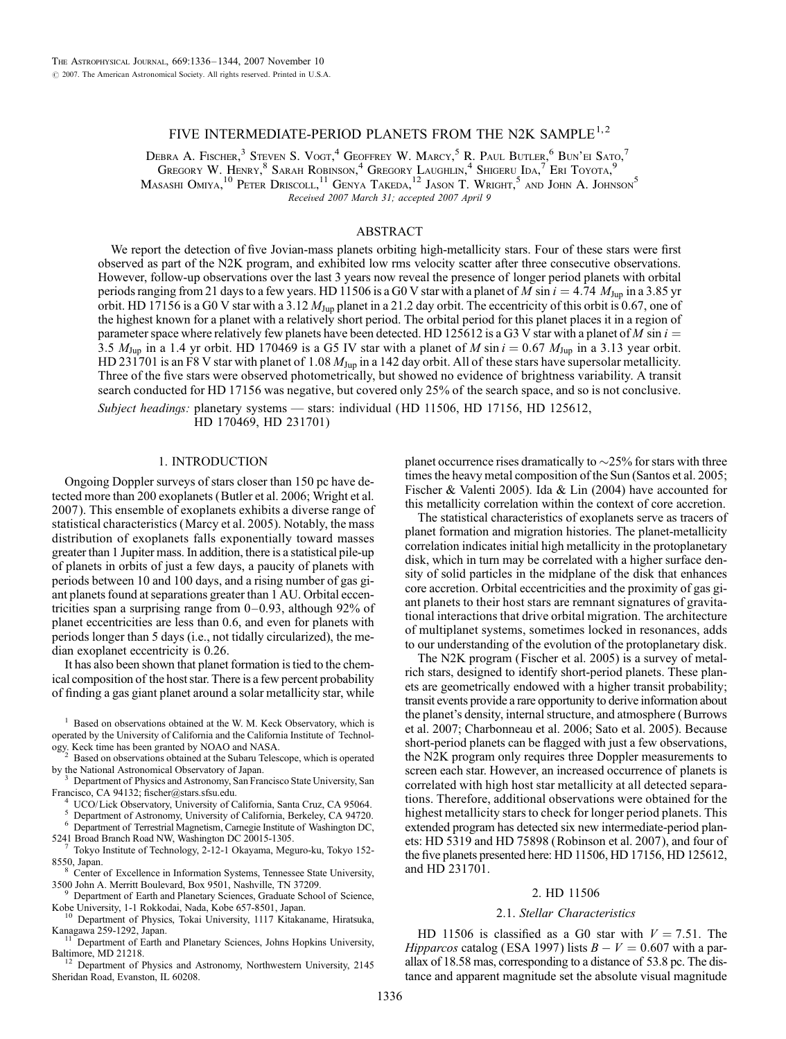# FIVE INTERMEDIATE-PERIOD PLANETS FROM THE N2K SAMPLE<sup>1,2</sup>

Debra A. Fischer,<sup>3</sup> Steven S. Vogt.<sup>4</sup> Geoffrey W. Marcy,<sup>5</sup> R. Paul Butler,<sup>6</sup> Bun'ei Sato.<sup>7</sup> Gregory W. Henry,  $^8$  Sarah Robinson,  $^4$  Gregory Laughlin,  $^4$  Shigeru Ida,  $^7$  Eri Toyota,  $^9$ Masashi Omiya, <sup>10</sup> Peter Driscoll, <sup>11</sup> Genya Takeda, <sup>12</sup> Jason T. Wright, <sup>5</sup> and John A. Johnson<sup>5</sup> Received 2007 March 31; accepted 2007 April 9

## ABSTRACT

We report the detection of five Jovian-mass planets orbiting high-metallicity stars. Four of these stars were first observed as part of the N2K program, and exhibited low rms velocity scatter after three consecutive observations. However, follow-up observations over the last 3 years now reveal the presence of longer period planets with orbital periods ranging from 21 days to a few years. HD 11506 is a G0 V star with a planet of M sin  $i = 4.74$  M<sub>Jup</sub> in a 3.85 yr orbit. HD 17156 is a G0 V star with a 3.12  $M_{\text{Jup}}$  planet in a 21.2 day orbit. The eccentricity of this orbit is 0.67, one of the highest known for a planet with a relatively short period. The orbital period for this planet places it in a region of parameter space where relatively few planets have been detected. HD 125612 is a G3 V star with a planet of M sin  $i =$ 3.5  $M_{\text{Jup}}$  in a 1.4 yr orbit. HD 170469 is a G5 IV star with a planet of M sin  $i = 0.67$   $M_{\text{Jup}}$  in a 3.13 year orbit. HD 231701 is an F8 V star with planet of 1.08  $M_{\text{Jup}}$  in a 142 day orbit. All of these stars have supersolar metallicity. Three of the five stars were observed photometrically, but showed no evidence of brightness variability. A transit search conducted for HD 17156 was negative, but covered only 25% of the search space, and so is not conclusive.

Subject headings: planetary systems — stars: individual (HD 11506, HD 17156, HD 125612,

HD 170469, HD 231701)

## 1. INTRODUCTION

Ongoing Doppler surveys of stars closer than 150 pc have detected more than 200 exoplanets (Butler et al. 2006; Wright et al. 2007). This ensemble of exoplanets exhibits a diverse range of statistical characteristics (Marcy et al. 2005). Notably, the mass distribution of exoplanets falls exponentially toward masses greater than 1 Jupiter mass. In addition, there is a statistical pile-up of planets in orbits of just a few days, a paucity of planets with periods between 10 and 100 days, and a rising number of gas giant planets found at separations greater than 1 AU. Orbital eccentricities span a surprising range from  $0-0.93$ , although 92% of planet eccentricities are less than 0.6, and even for planets with periods longer than 5 days (i.e., not tidally circularized), the median exoplanet eccentricity is 0.26.

It has also been shown that planet formation is tied to the chemical composition of the host star. There is a few percent probability of finding a gas giant planet around a solar metallicity star, while

by the National Astronomical Observatory of Japan.<br><sup>3</sup> Department of Physics and Astronomy, San Francisco State University, San Francisco, CA 94132; fischer@stars.sfsu.edu.

 $^4$  UCO/Lick Observatory, University of California, Santa Cruz, CA 95064.<br>  $^5$  Department of Astronomy, University of California, Berkeley, CA 94720.<br>  $^6$  Department of Terrestrial Magnetism, Carnegie Institute of Wash

5241 Broad Branch Road NW, Washington DC 20015-1305. <sup>7</sup> Tokyo Institute of Technology, 2-12-1 Okayama, Meguro-ku, Tokyo 152-

8550, Japan.<br><sup>8</sup> Center of Excellence in Information Systems, Tennessee State University,

3500 John A. Merritt Boulevard, Box 9501, Nashville, TN 37209.<br><sup>9</sup> Department of Earth and Planetary Sciences, Graduate School of Science,

Kobe University, 1-1 Rokkodai, Nada, Kobe 657-8501, Japan.<br>
<sup>10</sup> Department of Physics, Tokai University, 1117 Kitakaname, Hiratsuka,<br>
Kangawa 259-1292, Japan.<br>
<sup>11</sup> Department of Physics, Tokai University, 1117 Kitakaname

<sup>11</sup> Department of Earth and Planetary Sciences, Johns Hopkins University, Baltimore, MD 21218.

Department of Physics and Astronomy, Northwestern University, 2145 Sheridan Road, Evanston, IL 60208.

planet occurrence rises dramatically to  $\sim$ 25% for stars with three times the heavy metal composition of the Sun (Santos et al. 2005; Fischer & Valenti 2005). Ida & Lin (2004) have accounted for this metallicity correlation within the context of core accretion.

The statistical characteristics of exoplanets serve as tracers of planet formation and migration histories. The planet-metallicity correlation indicates initial high metallicity in the protoplanetary disk, which in turn may be correlated with a higher surface density of solid particles in the midplane of the disk that enhances core accretion. Orbital eccentricities and the proximity of gas giant planets to their host stars are remnant signatures of gravitational interactions that drive orbital migration. The architecture of multiplanet systems, sometimes locked in resonances, adds to our understanding of the evolution of the protoplanetary disk.

The N2K program (Fischer et al. 2005) is a survey of metalrich stars, designed to identify short-period planets. These planets are geometrically endowed with a higher transit probability; transit events provide a rare opportunity to derive information about the planet's density, internal structure, and atmosphere (Burrows et al. 2007; Charbonneau et al. 2006; Sato et al. 2005). Because short-period planets can be flagged with just a few observations, the N2K program only requires three Doppler measurements to screen each star. However, an increased occurrence of planets is correlated with high host star metallicity at all detected separations. Therefore, additional observations were obtained for the highest metallicity stars to check for longer period planets. This extended program has detected six new intermediate-period planets: HD 5319 and HD 75898 (Robinson et al. 2007), and four of the five planets presented here: HD 11506, HD 17156, HD 125612, and HD 231701.

#### 2. HD 11506

#### 2.1. Stellar Characteristics

HD 11506 is classified as a G0 star with  $V = 7.51$ . The *Hipparcos* catalog (ESA 1997) lists  $B - V = 0.607$  with a parallax of 18.58 mas, corresponding to a distance of 53.8 pc. The distance and apparent magnitude set the absolute visual magnitude

 $1$  Based on observations obtained at the W. M. Keck Observatory, which is operated by the University of California and the California Institute of Technology. Keck time has been granted by NOAO and NASA.<br><sup>2</sup> Based on observations obtained at the Subaru Telescope, which is operated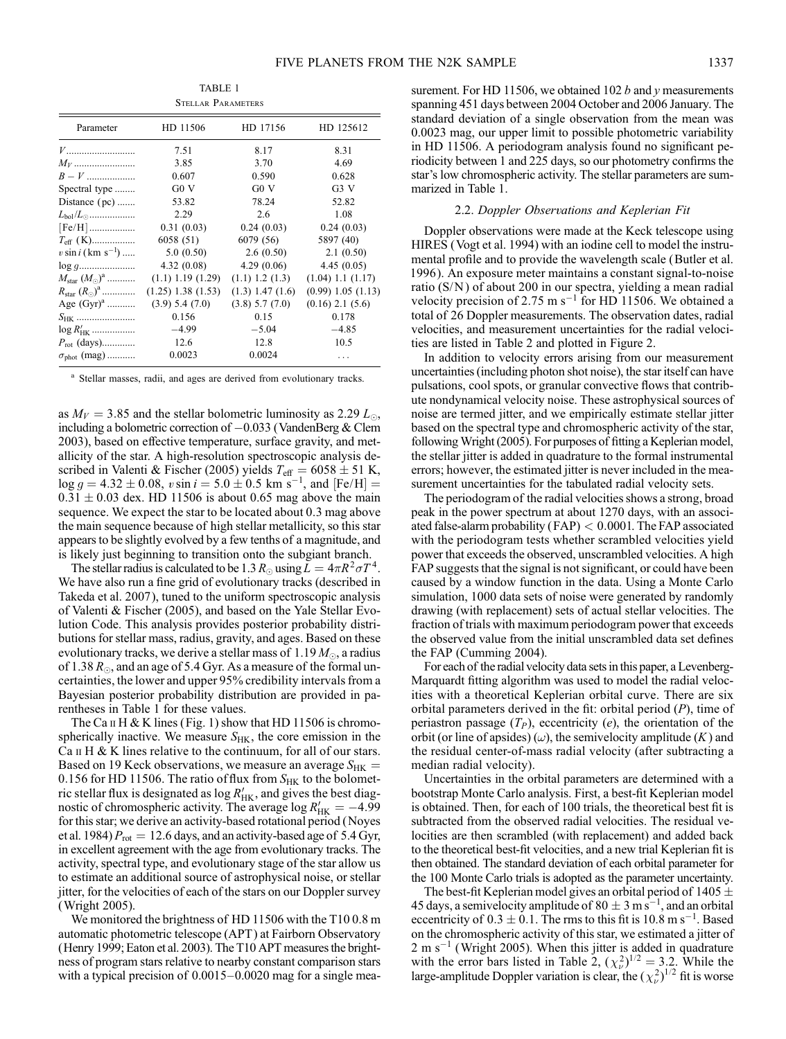TABLE 1 Stellar Parameters

| Parameter                            | HD 11506               | HD 17156             | HD 125612              |
|--------------------------------------|------------------------|----------------------|------------------------|
|                                      | 7.51                   | 8.17                 | 8.31                   |
| $M_V$                                | 3.85                   | 3.70                 | 4.69                   |
| $B - V$                              | 0.607                  | 0.590                | 0.628                  |
| Spectral type                        | G0 V                   | G0V                  | G3V                    |
| Distance $(pc)$                      | 53.82                  | 78.24                | 52.82                  |
| $L_{\rm bol}/L_{\odot}$              | 2.29                   | 2.6                  | 1.08                   |
|                                      | 0.31(0.03)             | 0.24(0.03)           | 0.24(0.03)             |
| $T_{\text{eff}}$ (K)                 | 6058 (51)              | 6079 (56)            | 5897 (40)              |
| $v \sin i$ (km s <sup>-1</sup> )     | 5.0(0.50)              | 2.6(0.50)            | 2.1(0.50)              |
|                                      | 4.32(0.08)             | 4.29(0.06)           | 4.45(0.05)             |
| $M_{\rm star}$ $(M_{\odot})^{\rm a}$ | $(1.1)$ 1.19 $(1.29)$  | $(1.1)$ 1.2 $(1.3)$  | $(1.04)$ 1.1 $(1.17)$  |
| $R_{\rm star}$ $(R_{\odot})^{\rm a}$ | $(1.25)$ 1.38 $(1.53)$ | $(1.3)$ 1.47 $(1.6)$ | $(0.99)$ 1.05 $(1.13)$ |
| Age $(Gyr)^{a}$                      | (3.9) 5.4 (7.0)        | $(3.8)$ 5.7 $(7.0)$  | $(0.16)$ 2.1 $(5.6)$   |
| $S_{HK}$                             | 0.156                  | 0.15                 | 0.178                  |
| $\log R'_{HK}$                       | $-4.99$                | $-5.04$              | $-4.85$                |
| $P_{\rm rot}$ (days)                 | 12.6                   | 12.8                 | 10.5                   |
| $\sigma_{\text{phot}}$ (mag)         | 0.0023                 | 0.0024               | .                      |
|                                      |                        |                      |                        |

<sup>a</sup> Stellar masses, radii, and ages are derived from evolutionary tracks.

as  $M_V = 3.85$  and the stellar bolometric luminosity as 2.29  $L_{\odot}$ , including a bolometric correction of  $-0.033$  (VandenBerg & Clem 2003), based on effective temperature, surface gravity, and metallicity of the star. A high-resolution spectroscopic analysis described in Valenti & Fischer (2005) yields  $T_{\text{eff}} = 6058 \pm 51 \text{ K}$ ,  $log g = 4.32 \pm 0.08$ ,  $v \sin i = 5.0 \pm 0.5$  km s<sup>-1</sup>, and [Fe/H] =  $0.31 \pm 0.03$  dex. HD 11506 is about 0.65 mag above the main sequence. We expect the star to be located about 0.3 mag above the main sequence because of high stellar metallicity, so this star appears to be slightly evolved by a few tenths of a magnitude, and is likely just beginning to transition onto the subgiant branch.

The stellar radius is calculated to be 1.3  $R_{\odot}$  using  $\bar{L} = 4\pi R^2 \sigma T^4$ . We have also run a fine grid of evolutionary tracks (described in Takeda et al. 2007), tuned to the uniform spectroscopic analysis of Valenti & Fischer (2005), and based on the Yale Stellar Evolution Code. This analysis provides posterior probability distributions for stellar mass, radius, gravity, and ages. Based on these evolutionary tracks, we derive a stellar mass of 1.19  $M_{\odot}$ , a radius of 1.38  $R_{\odot}$ , and an age of 5.4 Gyr. As a measure of the formal uncertainties, the lower and upper 95% credibility intervals from a Bayesian posterior probability distribution are provided in parentheses in Table 1 for these values.

The Ca  $\pi$  H & K lines (Fig. 1) show that HD 11506 is chromospherically inactive. We measure  $S_{HK}$ , the core emission in the Ca  $\text{II}$  H & K lines relative to the continuum, for all of our stars. Based on 19 Keck observations, we measure an average  $S_{HK}$  = 0.156 for HD 11506. The ratio of flux from  $S_{HK}$  to the bolometric stellar flux is designated as  $\log R'_{HK}$ , and gives the best diagnostic of chromospheric activity. The average  $\log R'_{HK} = -4.99$ for this star; we derive an activity-based rotational period (Noyes et al. 1984)  $P_{\text{rot}} = 12.6$  days, and an activity-based age of 5.4 Gyr, in excellent agreement with the age from evolutionary tracks. The activity, spectral type, and evolutionary stage of the star allow us to estimate an additional source of astrophysical noise, or stellar jitter, for the velocities of each of the stars on our Doppler survey (Wright 2005).

We monitored the brightness of HD 11506 with the T10 0.8 m automatic photometric telescope (APT ) at Fairborn Observatory (Henry 1999; Eaton et al. 2003). The T10 APT measures the brightness of program stars relative to nearby constant comparison stars with a typical precision of  $0.0015-0.0020$  mag for a single measurement. For HD 11506, we obtained 102  $b$  and  $\gamma$  measurements spanning 451 days between 2004 October and 2006 January. The standard deviation of a single observation from the mean was 0.0023 mag, our upper limit to possible photometric variability in HD 11506. A periodogram analysis found no significant periodicity between 1 and 225 days, so our photometry confirms the star's low chromospheric activity. The stellar parameters are summarized in Table 1.

## 2.2. Doppler Observations and Keplerian Fit

Doppler observations were made at the Keck telescope using HIRES (Vogt et al. 1994) with an iodine cell to model the instrumental profile and to provide the wavelength scale (Butler et al. 1996). An exposure meter maintains a constant signal-to-noise ratio (S/N ) of about 200 in our spectra, yielding a mean radial velocity precision of 2.75 m  $s^{-1}$  for HD 11506. We obtained a total of 26 Doppler measurements. The observation dates, radial velocities, and measurement uncertainties for the radial velocities are listed in Table 2 and plotted in Figure 2.

In addition to velocity errors arising from our measurement uncertainties (including photon shot noise), the star itself can have pulsations, cool spots, or granular convective flows that contribute nondynamical velocity noise. These astrophysical sources of noise are termed jitter, and we empirically estimate stellar jitter based on the spectral type and chromospheric activity of the star, following Wright (2005). For purposes of fitting a Keplerian model, the stellar jitter is added in quadrature to the formal instrumental errors; however, the estimated jitter is never included in the measurement uncertainties for the tabulated radial velocity sets.

The periodogram of the radial velocities shows a strong, broad peak in the power spectrum at about 1270 days, with an associated false-alarm probability (FAP) < 0:0001. The FAP associated with the periodogram tests whether scrambled velocities yield power that exceeds the observed, unscrambled velocities. A high FAP suggests that the signal is not significant, or could have been caused by a window function in the data. Using a Monte Carlo simulation, 1000 data sets of noise were generated by randomly drawing (with replacement) sets of actual stellar velocities. The fraction of trials with maximum periodogram power that exceeds the observed value from the initial unscrambled data set defines the FAP (Cumming 2004).

For each of the radial velocity data sets in this paper, a Levenberg-Marquardt fitting algorithm was used to model the radial velocities with a theoretical Keplerian orbital curve. There are six orbital parameters derived in the fit: orbital period  $(P)$ , time of periastron passage  $(T_P)$ , eccentricity (e), the orientation of the orbit (or line of apsides) ( $\omega$ ), the semivelocity amplitude (K) and the residual center-of-mass radial velocity (after subtracting a median radial velocity).

Uncertainties in the orbital parameters are determined with a bootstrap Monte Carlo analysis. First, a best-fit Keplerian model is obtained. Then, for each of 100 trials, the theoretical best fit is subtracted from the observed radial velocities. The residual velocities are then scrambled (with replacement) and added back to the theoretical best-fit velocities, and a new trial Keplerian fit is then obtained. The standard deviation of each orbital parameter for the 100 Monte Carlo trials is adopted as the parameter uncertainty.

The best-fit Keplerian model gives an orbital period of 1405  $\pm$ 45 days, a semivelocity amplitude of 80  $\pm$  3 m s<sup>-1</sup>, and an orbital eccentricity of  $0.3 \pm 0.1$ . The rms to this fit is 10.8 m s<sup>-1</sup>. Based on the chromospheric activity of this star, we estimated a jitter of  $2 \text{ m s}^{-1}$  (Wright 2005). When this jitter is added in quadrature with the error bars listed in Table 2,  $(\chi^2_\nu)^{1/2} = 3.2$ . While the large-amplitude Doppler variation is clear, the  $(\chi^2_\nu)^{1/2}$  fit is worse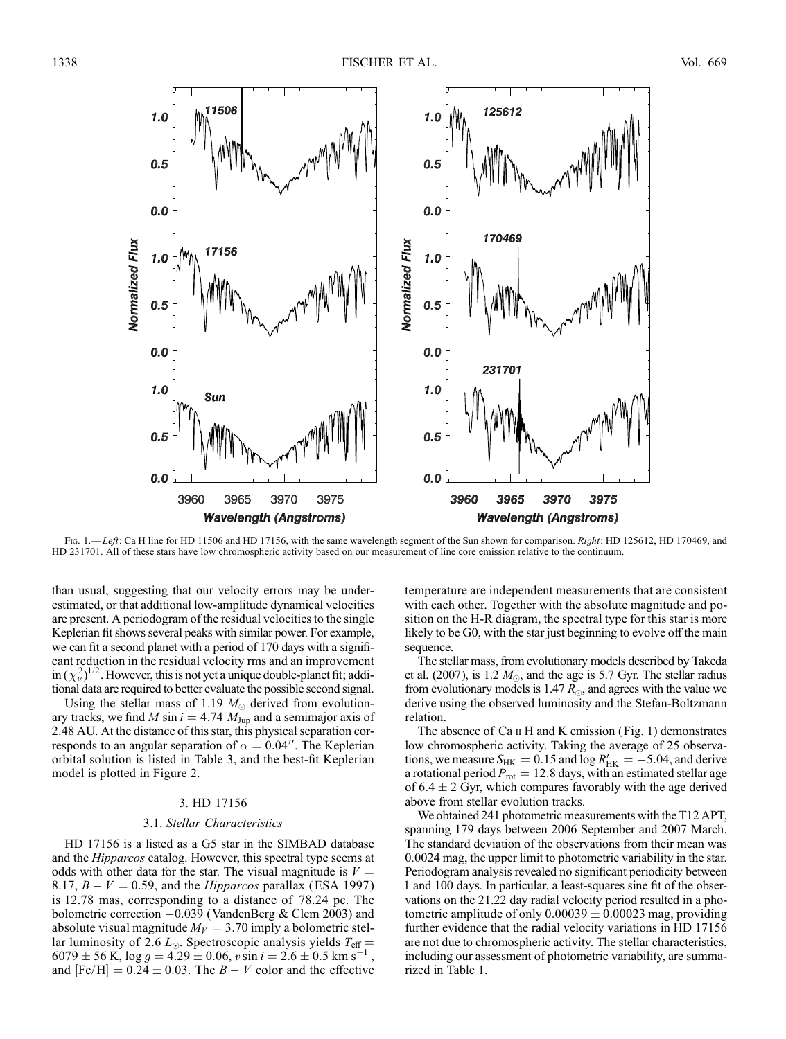

Fig. 1.—Left: Ca H line for HD 11506 and HD 17156, with the same wavelength segment of the Sun shown for comparison. Right: HD 125612, HD 170469, and HD 231701. All of these stars have low chromospheric activity based on our measurement of line core emission relative to the continuum.

than usual, suggesting that our velocity errors may be underestimated, or that additional low-amplitude dynamical velocities are present. A periodogram of the residual velocities to the single Keplerian fit shows several peaks with similar power. For example, we can fit a second planet with a period of 170 days with a significant reduction in the residual velocity rms and an improvement in  $(\chi^2_\nu)^{1/2}$ . However, this is not yet a unique double-planet fit; additional data are required to better evaluate the possible second signal.

Using the stellar mass of 1.19  $M_{\odot}$  derived from evolutionary tracks, we find M sin  $i = 4.74$  M<sub>Jup</sub> and a semimajor axis of 2.48 AU. At the distance of this star, this physical separation corresponds to an angular separation of  $\alpha = 0.04$ ". The Keplerian orbital solution is listed in Table 3, and the best-fit Keplerian model is plotted in Figure 2.

## 3. HD 17156

## 3.1. Stellar Characteristics

HD 17156 is a listed as a G5 star in the SIMBAD database and the *Hipparcos* catalog. However, this spectral type seems at odds with other data for the star. The visual magnitude is  $V =$ 8.17,  $B - V = 0.59$ , and the *Hipparcos* parallax (ESA 1997) is 12.78 mas, corresponding to a distance of 78.24 pc. The bolometric correction -0.039 (VandenBerg & Clem 2003) and absolute visual magnitude  $M_V = 3.70$  imply a bolometric stellar luminosity of 2.6  $L_{\odot}$ . Spectroscopic analysis yields  $T_{\text{eff}} =$  $6079 \pm 56$  K,  $\log g = 4.29 \pm 0.06$ ,  $v \sin i = 2.6 \pm 0.5$  km s<sup>-1</sup> <sup>1</sup>, and  $[Fe/H] = 0.24 \pm 0.03$ . The  $B - V$  color and the effective

temperature are independent measurements that are consistent with each other. Together with the absolute magnitude and position on the H-R diagram, the spectral type for this star is more likely to be G0, with the star just beginning to evolve off the main sequence.

The stellar mass, from evolutionary models described by Takeda et al. (2007), is 1.2  $M_{\odot}$ , and the age is 5.7 Gyr. The stellar radius from evolutionary models is 1.47  $R_{\odot}$ , and agrees with the value we derive using the observed luminosity and the Stefan-Boltzmann relation.

The absence of  $Ca \Pi H$  and K emission (Fig. 1) demonstrates low chromospheric activity. Taking the average of 25 observations, we measure  $S_{HK} = 0.15$  and  $\log R'_{HK} = -5.04$ , and derive a rotational period  $P_{\text{rot}} = 12.8$  days, with an estimated stellar age of  $6.4 \pm 2$  Gyr, which compares favorably with the age derived above from stellar evolution tracks.

We obtained 241 photometric measurements with the T12 APT, spanning 179 days between 2006 September and 2007 March. The standard deviation of the observations from their mean was 0.0024 mag, the upper limit to photometric variability in the star. Periodogram analysis revealed no significant periodicity between 1 and 100 days. In particular, a least-squares sine fit of the observations on the 21.22 day radial velocity period resulted in a photometric amplitude of only  $0.00039 \pm 0.00023$  mag, providing further evidence that the radial velocity variations in HD 17156 are not due to chromospheric activity. The stellar characteristics, including our assessment of photometric variability, are summarized in Table 1.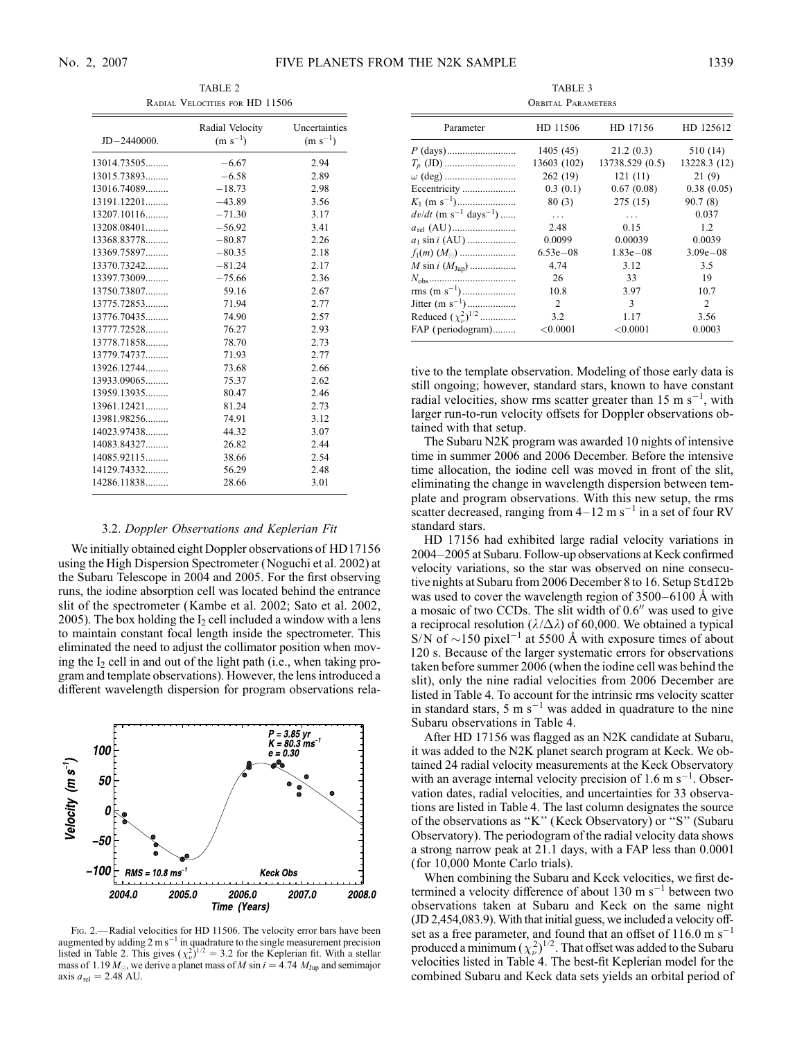TABLE 2 Radial Velocities for HD 11506

| $JD - 2440000.$ | Radial Velocity<br>$(m s^{-1})$ | Uncertainties<br>$(m s^{-1})$ |
|-----------------|---------------------------------|-------------------------------|
| 13014.73505     | $-6.67$                         | 2.94                          |
| 13015.73893     | $-6.58$                         | 2.89                          |
| 13016.74089     | $-18.73$                        | 2.98                          |
| 13191.12201     | $-43.89$                        | 3.56                          |
| $13207.10116$   | $-71.30$                        | 3.17                          |
| $13208.08401$   | $-56.92$                        | 3.41                          |
| 13368.83778     | $-80.87$                        | 2.26                          |
| 13369.75897     | $-80.35$                        | 2.18                          |
| 13370.73242     | $-81.24$                        | 2.17                          |
| 13397.73009     | $-75.66$                        | 2.36                          |
| 13750.73807     | 59.16                           | 2.67                          |
| 13775.72853     | 71.94                           | 2.77                          |
| 13776.70435     | 74.90                           | 2.57                          |
| 13777.72528     | 76.27                           | 2.93                          |
| 13778.71858     | 78.70                           | 2.73                          |
| 13779.74737     | 71.93                           | 2.77                          |
| 13926.12744     | 73.68                           | 2.66                          |
| 13933.09065     | 75.37                           | 2.62                          |
| 13959.13935     | 80.47                           | 2.46                          |
| $13961.12421$   | 81.24                           | 2.73                          |
| 13981.98256     | 74.91                           | 3.12                          |
| 14023.97438     | 44.32                           | 3.07                          |
| 14083.84327     | 26.82                           | 2.44                          |
| 14085.92115     | 38.66                           | 2.54                          |
| 14129.74332     | 56.29                           | 2.48                          |
| 14286.11838     | 28.66                           | 3.01                          |

#### 3.2. Doppler Observations and Keplerian Fit

We initially obtained eight Doppler observations of HD17156 using the High Dispersion Spectrometer (Noguchi et al. 2002) at the Subaru Telescope in 2004 and 2005. For the first observing runs, the iodine absorption cell was located behind the entrance slit of the spectrometer (Kambe et al. 2002; Sato et al. 2002, 2005). The box holding the  $I_2$  cell included a window with a lens to maintain constant focal length inside the spectrometer. This eliminated the need to adjust the collimator position when moving the  $I_2$  cell in and out of the light path (i.e., when taking program and template observations). However, the lens introduced a different wavelength dispersion for program observations rela-



FIG. 2.—Radial velocities for HD 11506. The velocity error bars have been augmented by adding  $2 \text{ m s}^{-1}$  in quadrature to the single measurement precision listed in Table 2. This gives  $(\chi^2_\nu)^{1/2} = 3.2$  for the Keplerian fit. With a stellar mass of 1.19  $M_{\odot}$ , we derive a planet mass of M sin  $i = 4.74$   $M_{\text{Jup}}$  and semimajor axis  $a_{rel} = 2.48$  AU.

TABLE 3 Orbital Parameters

| VKBLIAL I AKAMETEKS                             |              |                 |              |
|-------------------------------------------------|--------------|-----------------|--------------|
| Parameter                                       | HD 11506     | HD 17156        | HD 125612    |
|                                                 | 1405(45)     | 21.2(0.3)       | 510 (14)     |
|                                                 | 13603 (102)  | 13738.529 (0.5) | 13228.3 (12) |
|                                                 | 262 (19)     | 121(11)         | 21(9)        |
| Eccentricity                                    | 0.3(0.1)     | 0.67(0.08)      | 0.38(0.05)   |
|                                                 | 80(3)        | 275 (15)        | 90.7 (8)     |
| $dv/dt$ (m s <sup>-1</sup> days <sup>-1</sup> ) | $\cdots$     | $\cdots$        | 0.037        |
|                                                 | 2.48         | 0.15            | 1.2          |
| $a_1 \sin i$ (AU)                               | 0.0099       | 0.00039         | 0.0039       |
|                                                 | $6.53e - 08$ | $1.83e - 08$    | $3.09e - 08$ |
| <i>M</i> sin <i>i</i> $(M_{Jup})$               | 4.74         | 3.12            | 3.5          |
|                                                 | 26           | 33              | 19           |
|                                                 | 10.8         | 3.97            | 10.7         |
| Jitter (m s <sup>-1</sup> )                     | 2            | 3               | 2            |
| Reduced $(\chi^2_{\nu})^{1/2}$                  | 3.2          | 1.17            | 3.56         |
| FAP (periodogram)                               | ${<}0.0001$  | < 0.0001        | 0.0003       |

tive to the template observation. Modeling of those early data is still ongoing; however, standard stars, known to have constant radial velocities, show rms scatter greater than  $15 \text{ m s}^{-1}$ , with larger run-to-run velocity offsets for Doppler observations obtained with that setup.

The Subaru N2K program was awarded 10 nights of intensive time in summer 2006 and 2006 December. Before the intensive time allocation, the iodine cell was moved in front of the slit, eliminating the change in wavelength dispersion between template and program observations. With this new setup, the rms scatter decreased, ranging from  $4-12$  m s<sup>-1</sup> in a set of four RV standard stars.

HD 17156 had exhibited large radial velocity variations in 2004-2005 at Subaru. Follow-up observations at Keck confirmed velocity variations, so the star was observed on nine consecutive nights at Subaru from 2006 December 8 to 16. Setup StdI2b was used to cover the wavelength region of  $3500-6100$  Å with a mosaic of two CCDs. The slit width of  $0.6$ <sup>"</sup> was used to give a reciprocal resolution ( $\lambda/\Delta\lambda$ ) of 60,000. We obtained a typical S/N of  $\sim$ 150 pixel<sup>-1</sup> at 5500 Å with exposure times of about 120 s. Because of the larger systematic errors for observations taken before summer 2006 (when the iodine cell was behind the slit), only the nine radial velocities from 2006 December are listed in Table 4. To account for the intrinsic rms velocity scatter in standard stars, 5 m  $s^{-1}$  was added in quadrature to the nine Subaru observations in Table 4.

After HD 17156 was flagged as an N2K candidate at Subaru, it was added to the N2K planet search program at Keck. We obtained 24 radial velocity measurements at the Keck Observatory with an average internal velocity precision of 1.6 m  $s^{-1}$ . Observation dates, radial velocities, and uncertainties for 33 observations are listed in Table 4. The last column designates the source of the observations as ''K'' (Keck Observatory) or ''S'' (Subaru Observatory). The periodogram of the radial velocity data shows a strong narrow peak at 21.1 days, with a FAP less than 0.0001 (for 10,000 Monte Carlo trials).

When combining the Subaru and Keck velocities, we first determined a velocity difference of about  $130 \text{ m s}^{-1}$  between two observations taken at Subaru and Keck on the same night (JD 2,454,083.9). With that initial guess, we included a velocity offset as a free parameter, and found that an offset of  $116.0 \text{ m s}^{-1}$ produced a minimum  $(\chi^2_\nu)^{1/2}$ . That offset was added to the Subaru velocities listed in Table 4. The best-fit Keplerian model for the combined Subaru and Keck data sets yields an orbital period of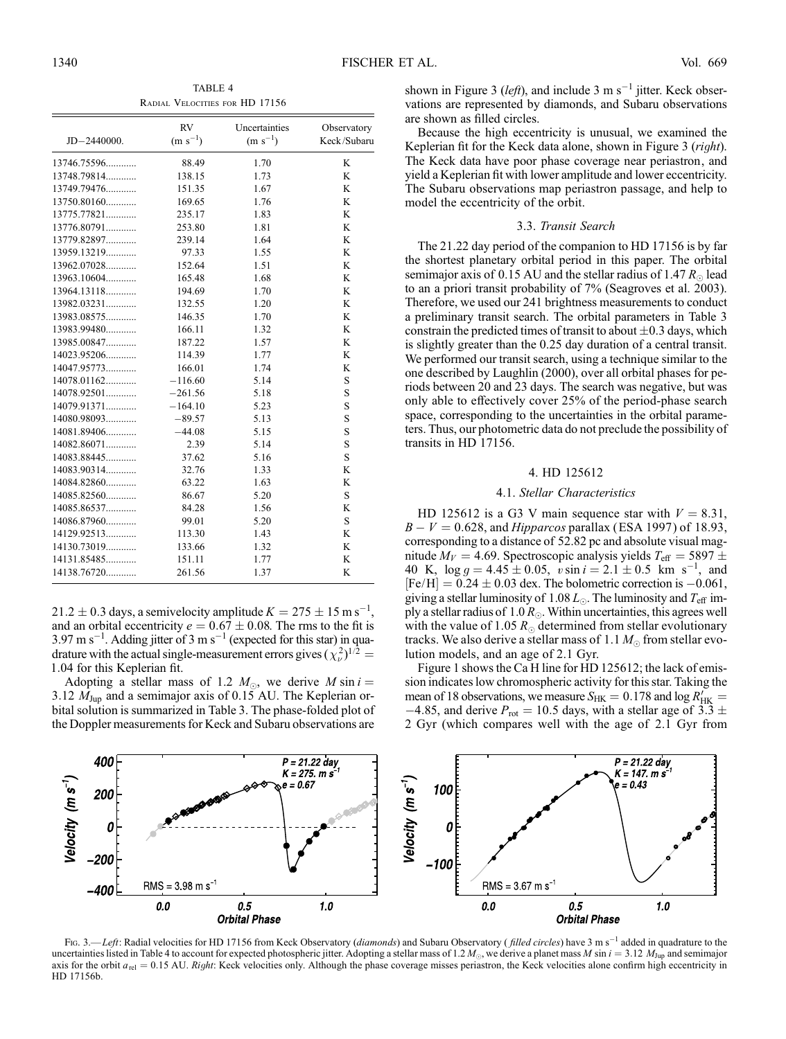TABLE 4 Radial Velocities for HD 17156

|               | <b>RV</b>    | Uncertainties | Observatory |
|---------------|--------------|---------------|-------------|
| JD-2440000.   | $(m s^{-1})$ | $(m s^{-1})$  | Keck/Subaru |
| 13746.75596   | 88.49        | 1.70          | K           |
| 13748.79814   | 138.15       | 1.73          | K           |
| $13749.79476$ | 151.35       | 1.67          | K           |
| $13750.80160$ | 169.65       | 1.76          | K           |
| $13775.77821$ | 235.17       | 1.83          | K           |
| $13776.80791$ | 253.80       | 1.81          | K           |
| 13779.82897   | 239.14       | 1.64          | K           |
| 13959.13219   | 97.33        | 1.55          | K           |
| $13962.07028$ | 152.64       | 1.51          | K           |
| 13963.10604   | 165.48       | 1.68          | K           |
| $13964.13118$ | 194.69       | 1.70          | K           |
| 13982.03231   | 132.55       | 1.20          | K           |
| 13983.08575   | 146.35       | 1.70          | K           |
| 13983.99480   | 166.11       | 1.32          | K           |
| 13985.00847   | 187.22       | 1.57          | K           |
| 14023.95206   | 114.39       | 1.77          | K           |
| 14047.95773   | 166.01       | 1.74          | K           |
| $14078.01162$ | $-116.60$    | 5.14          | S           |
| $14078.92501$ | $-261.56$    | 5.18          | S           |
| 14079.91371   | $-164.10$    | 5.23          | S           |
| 14080.98093   | $-89.57$     | 5.13          | S           |
| 14081.89406   | $-44.08$     | 5.15          | S           |
| $14082.86071$ | 2.39         | 5.14          | S           |
| 14083.88445   | 37.62        | 5.16          | S           |
| 14083.90314   | 32.76        | 1.33          | K           |
| 14084.82860   | 63.22        | 1.63          | K           |
| 14085.82560   | 86.67        | 5.20          | S           |
| 14085.86537   | 84.28        | 1.56          | K           |
| 14086.87960   | 99.01        | 5.20          | S           |
| 14129.92513   | 113.30       | 1.43          | K           |
| 14130.73019   | 133.66       | 1.32          | K           |
| 14131.85485   | 151.11       | 1.77          | K           |
| 14138.76720   | 261.56       | 1.37          | K           |

 $21.2 \pm 0.3$  days, a semivelocity amplitude  $K = 275 \pm 15$  m s<sup>-1</sup>, and an orbital eccentricity  $e = 0.67 \pm 0.08$ . The rms to the fit is  $3.97 \text{ m s}^{-1}$ . Adding jitter of 3 m s<sup>-1</sup> (expected for this star) in quadrature with the actual single-measurement errors gives  $(\chi^2_\nu)^{1/2}$  = 1:04 for this Keplerian fit.

Adopting a stellar mass of 1.2  $M_{\odot}$ , we derive M sin  $i =$ 3.12  $M_{\text{Jup}}$  and a semimajor axis of 0.15 AU. The Keplerian orbital solution is summarized in Table 3. The phase-folded plot of the Doppler measurements for Keck and Subaru observations are

shown in Figure 3 (*left*), and include 3 m s<sup>-1</sup> jitter. Keck observations are represented by diamonds, and Subaru observations are shown as filled circles.

Because the high eccentricity is unusual, we examined the Keplerian fit for the Keck data alone, shown in Figure 3 (right). The Keck data have poor phase coverage near periastron, and yield a Keplerian fit with lower amplitude and lower eccentricity. The Subaru observations map periastron passage, and help to model the eccentricity of the orbit.

#### 3.3. Transit Search

The 21.22 day period of the companion to HD 17156 is by far the shortest planetary orbital period in this paper. The orbital semimajor axis of 0.15 AU and the stellar radius of 1.47  $R_{\odot}$  lead to an a priori transit probability of 7% (Seagroves et al. 2003). Therefore, we used our 241 brightness measurements to conduct a preliminary transit search. The orbital parameters in Table 3 constrain the predicted times of transit to about  $\pm 0.3$  days, which is slightly greater than the 0.25 day duration of a central transit. We performed our transit search, using a technique similar to the one described by Laughlin (2000), over all orbital phases for periods between 20 and 23 days. The search was negative, but was only able to effectively cover 25% of the period-phase search space, corresponding to the uncertainties in the orbital parameters. Thus, our photometric data do not preclude the possibility of transits in HD 17156.

### 4. HD 125612

#### 4.1. Stellar Characteristics

HD 125612 is a G3 V main sequence star with  $V = 8.31$ ,  $B - V = 0.628$ , and *Hipparcos* parallax (ESA 1997) of 18.93, corresponding to a distance of 52.82 pc and absolute visual magnitude  $M_V = 4.69$ . Spectroscopic analysis yields  $T_{\text{eff}} = 5897 \pm$ 40 K,  $\log g = 4.45 \pm 0.05$ ,  $v \sin i = 2.1 \pm 0.5$  km s<sup>-1</sup>, and  $[Fe/H] = 0.24 \pm 0.03$  dex. The bolometric correction is  $-0.061$ , giving a stellar luminosity of 1.08  $L_{\odot}$ . The luminosity and  $T_{\text{eff}}$  imply a stellar radius of 1.0  $R_{\odot}$ . Within uncertainties, this agrees well with the value of 1.05  $R_{\odot}$  determined from stellar evolutionary tracks. We also derive a stellar mass of 1.1  $M_{\odot}$  from stellar evolution models, and an age of 2.1 Gyr.

Figure 1 shows the Ca H line for HD 125612; the lack of emission indicates low chromospheric activity for this star. Taking the mean of 18 observations, we measure  $S_{HK} = 0.178$  and log  $R'_{HK} =$  $-4.85$ , and derive  $P_{\text{rot}} = 10.5$  days, with a stellar age of 3.3  $\pm$ 2 Gyr (which compares well with the age of 2.1 Gyr from



Fig. 3.—Left: Radial velocities for HD 17156 from Keck Observatory (*diamonds*) and Subaru Observatory (*filled circles*) have 3 m s<sup>-1</sup> added in quadrature to the uncertainties listed in Table 4 to account for expected photospheric jitter. Adopting a stellar mass of 1.2  $M_{\odot}$ , we derive a planet mass M sin  $i = 3.12$   $M_{\text{Jup}}$  and semimajor axis for the orbit  $a_{rel} = 0.15$  AU. Right: Keck velocities only. Although the phase coverage misses periastron, the Keck velocities alone confirm high eccentricity in HD 17156b.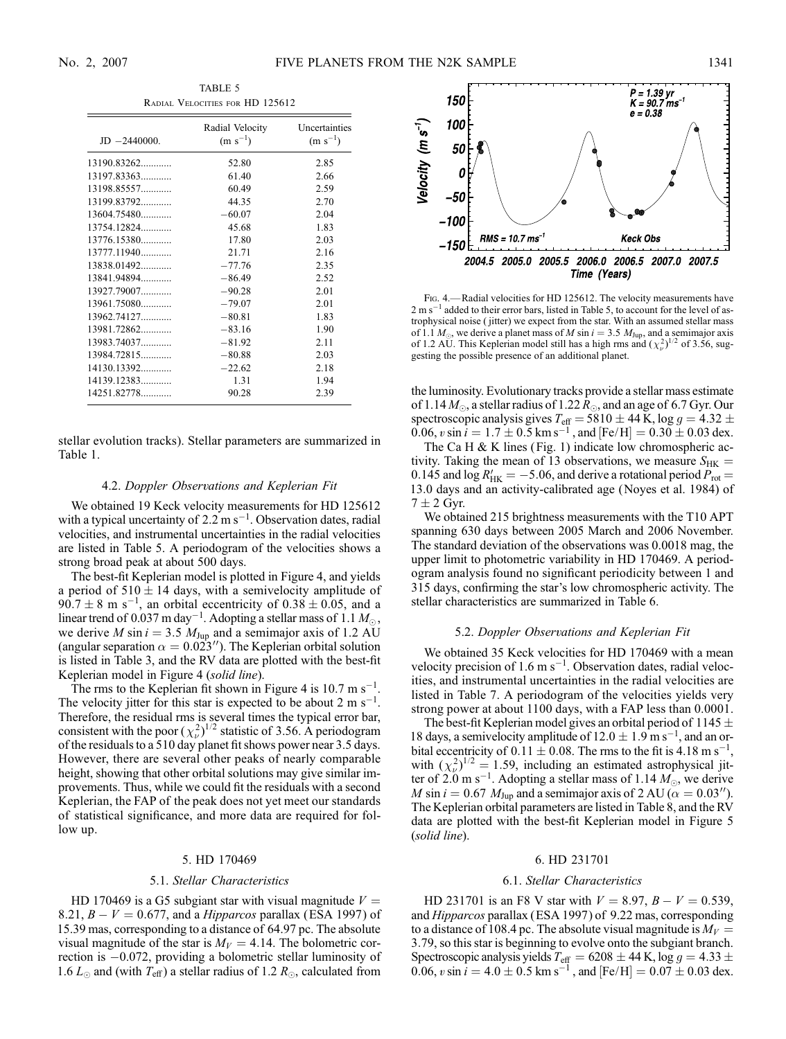TABLE 5 Radial Velocities for HD 125612

| $JD - 2440000.$ | Radial Velocity<br>$(m s^{-1})$ | Uncertainties<br>$(m s^{-1})$ |
|-----------------|---------------------------------|-------------------------------|
| 13190.83262     | 52.80                           | 2.85                          |
| 13197.83363     | 61.40                           | 2.66                          |
| 13198.85557     | 60.49                           | 2.59                          |
| 13199.83792     | 44.35                           | 2.70                          |
| $13604.75480$   | $-60.07$                        | 2.04                          |
| 13754.12824     | 45.68                           | 1.83                          |
| 13776.15380     | 17.80                           | 2.03                          |
| $13777.11940$   | 21.71                           | 2.16                          |
| $13838.01492$   | $-77.76$                        | 2.35                          |
| 13841.94894     | $-86.49$                        | 2.52                          |
| 13927.79007     | $-90.28$                        | 2.01                          |
| $13961.75080$   | $-79.07$                        | 2.01                          |
| 13962.74127     | $-80.81$                        | 1.83                          |
| 13981.72862     | $-83.16$                        | 1.90                          |
| 13983.74037     | $-81.92$                        | 2.11                          |
| 13984.72815     | $-80.88$                        | 2.03                          |
| 14130.13392     | $-22.62$                        | 2.18                          |
| 14139.12383     | 1.31                            | 1.94                          |
| 14251.82778     | 90.28                           | 2.39                          |

stellar evolution tracks). Stellar parameters are summarized in Table 1.

#### 4.2. Doppler Observations and Keplerian Fit

We obtained 19 Keck velocity measurements for HD 125612 with a typical uncertainty of  $2.2 \text{ m s}^{-1}$ . Observation dates, radial velocities, and instrumental uncertainties in the radial velocities are listed in Table 5. A periodogram of the velocities shows a strong broad peak at about 500 days.

The best-fit Keplerian model is plotted in Figure 4, and yields a period of  $510 \pm 14$  days, with a semivelocity amplitude of  $90.7 \pm 8$  m s<sup>-1</sup>, an orbital eccentricity of  $0.38 \pm 0.05$ , and a linear trend of 0.037 m day $^{-1}$ . Adopting a stellar mass of 1.1  $M_{\odot},$ we derive *M* sin  $i = 3.5$   $M_{\text{Jup}}$  and a semimajor axis of 1.2 AU (angular separation  $\alpha = 0.023''$ ). The Keplerian orbital solution is listed in Table 3, and the RV data are plotted with the best-fit Keplerian model in Figure 4 (solid line).

The rms to the Keplerian fit shown in Figure 4 is 10.7 m  $s^{-1}$ . The velocity jitter for this star is expected to be about 2 m  $s^{-1}$ . Therefore, the residual rms is several times the typical error bar, consistent with the poor  $(\chi^2_\nu)^{1/2}$  statistic of 3.56. A periodogram of the residuals to a 510 day planet fit shows power near 3.5 days. However, there are several other peaks of nearly comparable height, showing that other orbital solutions may give similar improvements. Thus, while we could fit the residuals with a second Keplerian, the FAP of the peak does not yet meet our standards of statistical significance, and more data are required for follow up.

#### 5. HD 170469

#### 5.1. Stellar Characteristics

HD 170469 is a G5 subgiant star with visual magnitude  $V =$ 8.21,  $B - V = 0.677$ , and a *Hipparcos* parallax (ESA 1997) of 15.39 mas, corresponding to a distance of 64.97 pc. The absolute visual magnitude of the star is  $M_V = 4.14$ . The bolometric correction is -0.072, providing a bolometric stellar luminosity of 1.6  $L_{\odot}$  and (with  $T_{\text{eff}}$ ) a stellar radius of 1.2  $R_{\odot}$ , calculated from



F<sub>IG</sub>. 4.—Radial velocities for HD 125612. The velocity measurements have 2 m s<sup>-1</sup> added to their error bars, listed in Table 5, to account for the level of astrophysical noise ( jitter) we expect from the star. With an assumed stellar mass of 1.1  $M_{\odot}$ , we derive a planet mass of M sin  $i = 3.5$   $M_{\text{Jup}}$ , and a semimajor axis of 1.2 AU. This Keplerian model still has a high rms and  $(\chi^2_\nu)^{1/2}$  of 3.56, suggesting the possible presence of an additional planet.

the luminosity. Evolutionary tracks provide a stellar mass estimate of 1.14  $M_{\odot}$ , a stellar radius of 1.22  $R_{\odot}$ , and an age of 6.7 Gyr. Our spectroscopic analysis gives  $T_{\text{eff}} = 5810 \pm 44$  K, log  $g = 4.32 \pm 1.5$ 0.06, v sin  $i = 1.7 \pm 0.5$  km s<sup>-1</sup>, and [Fe/H] = 0.30  $\pm$  0.03 dex.

The Ca H  $& K$  lines (Fig. 1) indicate low chromospheric activity. Taking the mean of 13 observations, we measure  $S_{HK}$  = 0.145 and  $\log R'_{HK} = -5.06$ , and derive a rotational period  $P_{rot} =$ 13:0 days and an activity-calibrated age (Noyes et al. 1984) of  $7 \pm 2$  Gyr.

We obtained 215 brightness measurements with the T10 APT spanning 630 days between 2005 March and 2006 November. The standard deviation of the observations was 0.0018 mag, the upper limit to photometric variability in HD 170469. A periodogram analysis found no significant periodicity between 1 and 315 days, confirming the star's low chromospheric activity. The stellar characteristics are summarized in Table 6.

#### 5.2. Doppler Observations and Keplerian Fit

We obtained 35 Keck velocities for HD 170469 with a mean velocity precision of 1.6 m  $s^{-1}$ . Observation dates, radial velocities, and instrumental uncertainties in the radial velocities are listed in Table 7. A periodogram of the velocities yields very strong power at about 1100 days, with a FAP less than 0.0001.

The best-fit Keplerian model gives an orbital period of 1145  $\pm$ 18 days, a semivelecity amplitude of  $12.0 \pm 1.9$  m s<sup>-1</sup>, and an orbital eccentricity of  $0.11 \pm 0.08$ . The rms to the fit is 4.18 m s<sup>-1</sup>, with  $(\chi^2_\nu)^{1/2} = 1.59$ , including an estimated astrophysical jitter of  $2.0 \text{ m s}^{-1}$ . Adopting a stellar mass of 1.14  $M_{\odot}$ , we derive M sin  $i = 0.67$  M<sub>Jup</sub> and a semimajor axis of 2 AU ( $\alpha = 0.03$ "). The Keplerian orbital parameters are listed in Table 8, and the RV data are plotted with the best-fit Keplerian model in Figure 5 (solid line).

## 6. HD 231701

#### 6.1. Stellar Characteristics

HD 231701 is an F8 V star with  $V = 8.97, B - V = 0.539,$ and Hipparcos parallax (ESA 1997) of 9.22 mas, corresponding to a distance of 108.4 pc. The absolute visual magnitude is  $M_V =$ 3:79, so this star is beginning to evolve onto the subgiant branch. Spectroscopic analysis yields  $T_{\text{eff}} = 6208 \pm 44$  K, log  $g = 4.33 \pm 4.33$ 0.06, v sin  $i = 4.0 \pm 0.5$  km s<sup>-1</sup>, and [Fe/H] =  $0.07 \pm 0.03$  dex.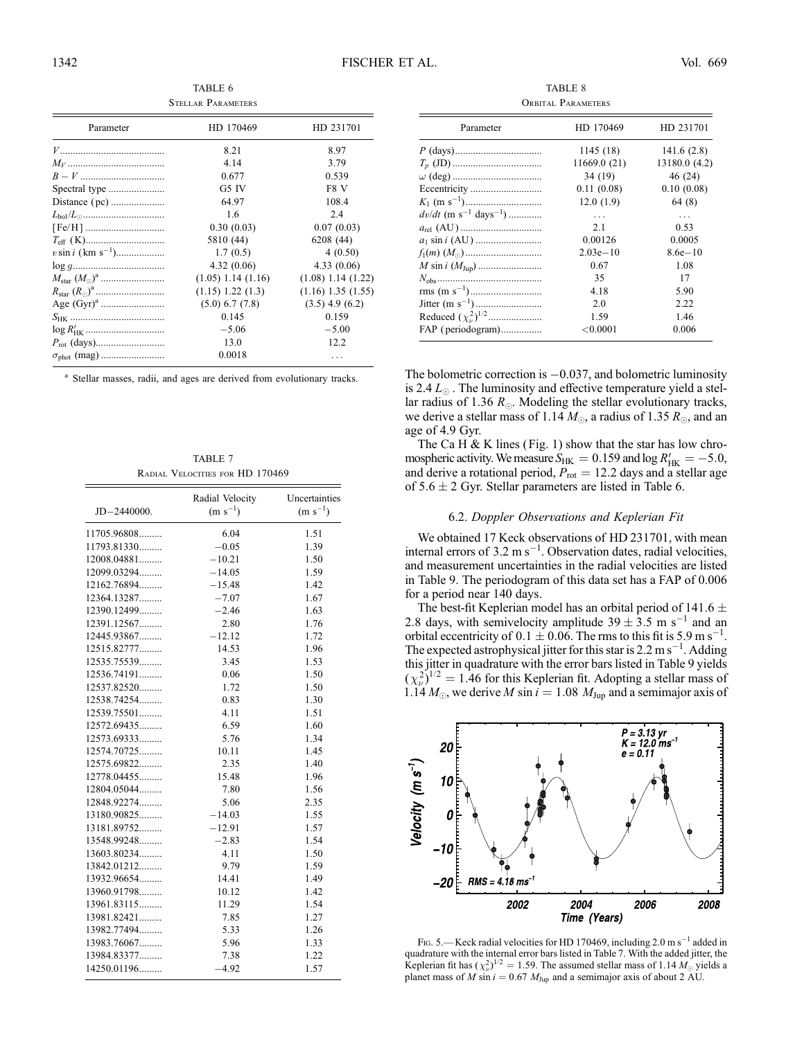TABLE 6 Stellar Parameters

| Parameter                        | HD 170469              | HD 231701              |
|----------------------------------|------------------------|------------------------|
|                                  | 8.21                   | 8.97                   |
|                                  | 4.14                   | 3.79                   |
|                                  | 0.677                  | 0.539                  |
| Spectral type                    | G5 IV                  | F8 V                   |
|                                  | 64.97                  | 108.4                  |
|                                  | 1.6                    | 2.4                    |
|                                  | 0.30(0.03)             | 0.07(0.03)             |
|                                  | 5810 (44)              | 6208 (44)              |
| $v \sin i$ (km s <sup>-1</sup> ) | 1.7(0.5)               | 4(0.50)                |
|                                  | 4.32(0.06)             | 4.33(0.06)             |
|                                  | $(1.05)$ 1.14 $(1.16)$ | $(1.08)$ 1.14 $(1.22)$ |
|                                  | $(1.15)$ 1.22 $(1.3)$  | $(1.16)$ 1.35 $(1.55)$ |
|                                  | $(5.0)$ 6.7 $(7.8)$    | $(3.5)$ 4.9 $(6.2)$    |
|                                  | 0.145                  | 0.159                  |
|                                  | $-5.06$                | $-5.00$                |
|                                  | 13.0                   | 12.2                   |
|                                  | 0.0018                 |                        |
|                                  |                        |                        |

<sup>a</sup> Stellar masses, radii, and ages are derived from evolutionary tracks.

TABLE 7 Radial Velocities for HD 170469

| $JD - 2440000.$ | Radial Velocity<br>$(m s^{-1})$ | Uncertainties<br>$(m s^{-1})$ |
|-----------------|---------------------------------|-------------------------------|
| 11705.96808     | 6.04                            | 1.51                          |
| 11793.81330     | $-0.05$                         | 1.39                          |
| 12008.04881     | $-10.21$                        | 1.50                          |
| 12099.03294     | $-14.05$                        | 1.59                          |
| 12162.76894     | $-15.48$                        | 1.42                          |
| 12364.13287     | $-7.07$                         | 1.67                          |
| 12390.12499     | $-2.46$                         | 1.63                          |
| 12391.12567     | 2.80                            | 1.76                          |
| 12445.93867     | $-12.12$                        | 1.72                          |
| 12515.82777     | 14.53                           | 1.96                          |
| 12535.75539     | 3.45                            | 1.53                          |
| 12536.74191     | 0.06                            | 1.50                          |
| 12537.82520     | 1.72                            | 1.50                          |
| 12538.74254     | 0.83                            | 1.30                          |
| 12539.75501     | 4.11                            | 1.51                          |
| 12572.69435     | 6.59                            | 1.60                          |
| 12573.69333     | 5.76                            | 1.34                          |
| 12574.70725     | 10.11                           | 1.45                          |
| 12575.69822     | 2.35                            | 1.40                          |
| 12778.04455     | 15.48                           | 1.96                          |
| 12804.05044     | 7.80                            | 1.56                          |
| 12848.92274     | 5.06                            | 2.35                          |
| 13180.90825     | $-14.03$                        | 1.55                          |
| 13181.89752     | $-12.91$                        | 1.57                          |
| 13548.99248     | $-2.83$                         | 1.54                          |
| 13603.80234     | 4.11                            | 1.50                          |
| 13842.01212     | 9.79                            | 1.59                          |
| 13932.96654     | 14.41                           | 1.49                          |
| 13960.91798     | 10.12                           | 1.42                          |
| 13961.83115     | 11.29                           | 1.54                          |
| 13981.82421     | 7.85                            | 1.27                          |
| 13982.77494     | 5.33                            | 1.26                          |
| 13983.76067     | 5.96                            | 1.33                          |
| 13984.83377     | 7.38                            | 1.22                          |
| 14250.01196     | $-4.92$                         | 1.57                          |

TABLE 8 ORBITAL PARAMETERS

| Parameter                                                                                | HD 170469    | HD 231701     |
|------------------------------------------------------------------------------------------|--------------|---------------|
|                                                                                          | 1145(18)     | 141.6(2.8)    |
| $T_p\mbox{ (JD)}\dots\!\!\!\dots\!\!\!\dots\!\!\!\dots\!\!\!\dots\!\!\!\dots\!\!\!\dots$ | 11669.0 (21) | 13180.0 (4.2) |
|                                                                                          | 34 (19)      | 46 (24)       |
|                                                                                          | 0.11(0.08)   | 0.10(0.08)    |
|                                                                                          | 12.0(1.9)    | 64 (8)        |
| $dv/dt$ (m s <sup>-1</sup> days <sup>-1</sup> )                                          | $\cdots$     | $\cdots$      |
|                                                                                          | 2.1          | 0.53          |
|                                                                                          | 0.00126      | 0.0005        |
|                                                                                          | $2.03e-10$   | $8.6e - 10$   |
|                                                                                          | 0.67         | 1.08          |
|                                                                                          | 35           | 17            |
|                                                                                          | 4.18         | 5.90          |
|                                                                                          | 2.0          | 2.22          |
| Reduced $(\chi^2_\nu)^{1/2}$                                                             | 1.59         | 1.46          |
| FAP (periodogram)                                                                        | ${<}0.0001$  | 0.006         |

The bolometric correction is  $-0.037$ , and bolometric luminosity is 2.4  $L_{\odot}$ . The luminosity and effective temperature yield a stellar radius of 1.36  $R_{\odot}$ . Modeling the stellar evolutionary tracks, we derive a stellar mass of 1.14  $M_{\odot}$ , a radius of 1.35  $R_{\odot}$ , and an age of 4.9 Gyr.

The Ca H & K lines (Fig. 1) show that the star has low chromospheric activity. We measure  $S_{HK} = 0.159$  and log  $R'_{HK} = -5.0$ , and derive a rotational period,  $P_{\text{rot}} = 12.2$  days and a stellar age of  $5.6 \pm 2$  Gyr. Stellar parameters are listed in Table 6.

#### 6.2. Doppler Observations and Keplerian Fit

We obtained 17 Keck observations of HD 231701, with mean internal errors of  $3.2 \text{ m s}^{-1}$ . Observation dates, radial velocities, and measurement uncertainties in the radial velocities are listed in Table 9. The periodogram of this data set has a FAP of 0.006 for a period near 140 days.

The best-fit Keplerian model has an orbital period of 141.6  $\pm$ 2.8 days, with semivelocity amplitude  $39 \pm 3.5$  m s<sup>-1</sup> and an orbital eccentricity of  $0.1 \pm 0.06$ . The rms to this fit is 5.9 m s<sup>-1</sup>. The expected astrophysical jitter for this star is  $2.2 \text{ m s}^{-1}$ . Adding this jitter in quadrature with the error bars listed in Table 9 yields  $(\chi^2_\nu)^{1/2} = 1.46$  for this Keplerian fit. Adopting a stellar mass of 1.14  $M_{\odot}$ , we derive M sin  $i = 1.08$   $M_{\text{Jup}}$  and a semimajor axis of



FIG. 5.—Keck radial velocities for HD 170469, including 2.0 m s<sup>-1</sup> added in quadrature with the internal error bars listed in Table 7. With the added jitter, the Keplerian fit has  $(\chi^2_\nu)^{1/2} = 1.59$ . The assumed stellar mass of 1.14  $M_\odot$  yields a planet mass of M sin  $i = 0.67$  M<sub>Jup</sub> and a semimajor axis of about 2 AU.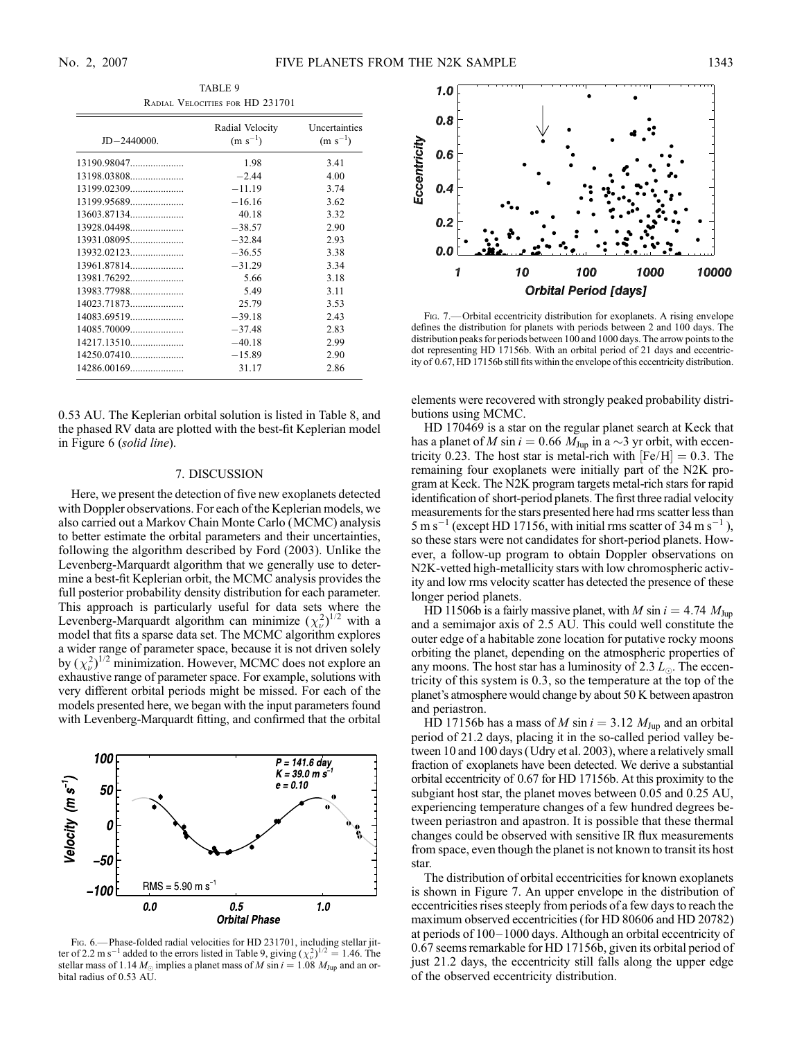Radial Velocities for HD 231701 JD-2440000. Radial Velocity  $(m s^{-1})$ Uncertainties  $(m s^{-1})$ 13190.98047..................... 1.98 3.41 13198.03808..................... -4.00 13199.02309..................... - $-11.19$  3.74 13199.95689..................... - $-16.16$  3.62 13603.87134..................... 40.18 3.32 13928.04498..................... -38.57 2.90 13931.08095..................... - $-32.84$  2.93 13932.02123..................... - $-36.55$  3.38 13961.87814..................... - $-31.29$  3.34 13981.76292..................... 5.66 3.18 13983.77988..................... 5.49 3.11 14023.71873..................... 25.79 3.53 14083.69519..................... - $-39.18$  2.43 14085.70009..................... -37.48 2.83 14217.13510..................... - $-40.18$  2.99 14250.07410..................... - $-15.89$  2.90 14286.00169..................... 31.17 2.86

TABLE 9

0.53 AU. The Keplerian orbital solution is listed in Table 8, and the phased RV data are plotted with the best-fit Keplerian model in Figure 6 (solid line).

# 7. DISCUSSION

Here, we present the detection of five new exoplanets detected with Doppler observations. For each of the Keplerian models, we also carried out a Markov Chain Monte Carlo (MCMC) analysis to better estimate the orbital parameters and their uncertainties, following the algorithm described by Ford (2003). Unlike the Levenberg-Marquardt algorithm that we generally use to determine a best-fit Keplerian orbit, the MCMC analysis provides the full posterior probability density distribution for each parameter. This approach is particularly useful for data sets where the Levenberg-Marquardt algorithm can minimize  $(\chi^2_\nu)^{1/2}$  with a model that fits a sparse data set. The MCMC algorithm explores a wider range of parameter space, because it is not driven solely by  $(\chi^2_\nu)^{1/2}$  minimization. However, MCMC does not explore an exhaustive range of parameter space. For example, solutions with very different orbital periods might be missed. For each of the models presented here, we began with the input parameters found with Levenberg-Marquardt fitting, and confirmed that the orbital



Fig. 6.— Phase-folded radial velocities for HD 231701, including stellar jitter of 2.2 m s<sup>-1</sup> added to the errors listed in Table 9, giving  $(\chi^2_\nu)^{1/2} = 1.46$ . The stellar mass of 1.14  $M_{\odot}$  implies a planet mass of M sin  $i = 1.08$   $M_{Jup}$  and an orbital radius of 0.53 AU.



Fig. 7.— Orbital eccentricity distribution for exoplanets. A rising envelope defines the distribution for planets with periods between 2 and 100 days. The distribution peaks for periods between 100 and 1000 days. The arrow points to the dot representing HD 17156b. With an orbital period of 21 days and eccentricity of 0.67, HD 17156b still fits within the envelope of this eccentricity distribution.

elements were recovered with strongly peaked probability distributions using MCMC.

HD 170469 is a star on the regular planet search at Keck that has a planet of M sin  $i = 0.66$  M<sub>Jup</sub> in a  $\sim$ 3 yr orbit, with eccentricity 0.23. The host star is metal-rich with  $[Fe/H] = 0.3$ . The remaining four exoplanets were initially part of the N2K program at Keck. The N2K program targets metal-rich stars for rapid identification of short-period planets. The first three radial velocity measurements for the stars presented here had rms scatter less than  $5 \text{ m s}^{-1}$  (except HD 17156, with initial rms scatter of 34 m s<sup>-1</sup>), so these stars were not candidates for short-period planets. However, a follow-up program to obtain Doppler observations on N2K-vetted high-metallicity stars with low chromospheric activity and low rms velocity scatter has detected the presence of these longer period planets.

HD 11506b is a fairly massive planet, with M sin  $i = 4.74$   $M_{Jup}$ and a semimajor axis of 2.5 AU. This could well constitute the outer edge of a habitable zone location for putative rocky moons orbiting the planet, depending on the atmospheric properties of any moons. The host star has a luminosity of 2.3  $L_{\odot}$ . The eccentricity of this system is 0.3, so the temperature at the top of the planet's atmosphere would change by about 50 K between apastron and periastron.

HD 17156b has a mass of M sin  $i = 3.12$  M<sub>Jup</sub> and an orbital period of 21.2 days, placing it in the so-called period valley between 10 and 100 days (Udry et al. 2003), where a relatively small fraction of exoplanets have been detected. We derive a substantial orbital eccentricity of 0.67 for HD 17156b. At this proximity to the subgiant host star, the planet moves between 0.05 and 0.25 AU, experiencing temperature changes of a few hundred degrees between periastron and apastron. It is possible that these thermal changes could be observed with sensitive IR flux measurements from space, even though the planet is not known to transit its host star.

The distribution of orbital eccentricities for known exoplanets is shown in Figure 7. An upper envelope in the distribution of eccentricities rises steeply from periods of a few days to reach the maximum observed eccentricities (for HD 80606 and HD 20782) at periods of  $100-1000$  days. Although an orbital eccentricity of 0.67 seems remarkable for HD 17156b, given its orbital period of just 21.2 days, the eccentricity still falls along the upper edge of the observed eccentricity distribution.